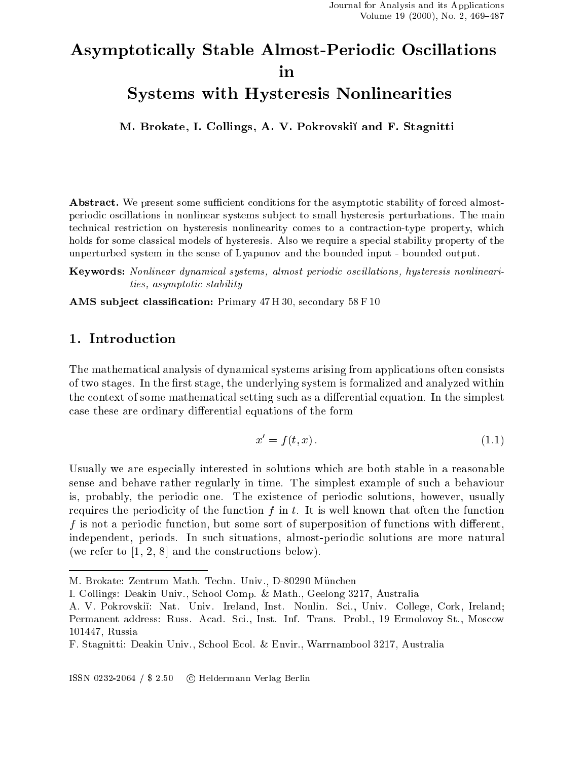# Asymptoti
ally Stable Almost-Periodi Os
illations in

## Systems with Hysteresis Nonlinearities

M. Brokate, I. Collings, A. V. Pokrovski and F. Stagnitti

Abstract. We present some sufficient conditions for the asymptotic stability of forced almostperiodic oscillations in nonlinear systems subject to small hysteresis perturbations. The main technical restriction on hysteresis nonlinearity comes to a contraction-type property, which holds for some classical models of hysteresis. Also we require a special stability property of the unperturbed system in the sense of Lyapunov and the bounded input - bounded output.

Keywords: Nonlinear dynamical systems, almost periodic oscillations, hysteresis nonlinearities, asymptotic stability

AMS subject classification: Primary 47 H 30, secondary 58 F 10

### 1. Introduction

The mathemati
al analysis of dynami
al systems arising from appli
ations often onsists of two stages. In the first stage, the underlying system is formalized and analyzed within the context of some mathematical setting such as a differential equation. In the simplest case these are ordinary differential equations of the form

$$
x' = f(t, x). \tag{1.1}
$$

Usually we are especially interested in solutions which are both stable in a reasonable sense and behave rather regularly in time. The simplest example of su
h a behaviour is, probably, the periodic one. The existence of periodic solutions, however, usually requires the periodicity of the function  $f$  in  $t$ . It is well known that often the function f is not a periodic function, but some sort of superposition of functions with different, independent, periods. In such situations, almost-periodic solutions are more natural (we refer to  $[1, 2, 8]$  and the constructions below).

ISSN 0232-2064 / \$ 2.50 Heldermann Verlag Berlin

M. Brokate: Zentrum Math. Techn. Univ., D-80290 München

I. Collings: Deakin Univ., S
hool Comp. & Math., Geelong 3217, Australia

A. V. Pokrovski: Nat. Univ. Ireland, Inst. Nonlin. S
i., Univ. College, Cork, Ireland; Permanent address: Russ. Acad. Sci., Inst. Inf. Trans. Probl., 19 Ermolovoy St., Moscow 101447, Russia

F. Stagnitti: Deakin Univ., S
hool E
ol. & Envir., Warrnambool 3217, Australia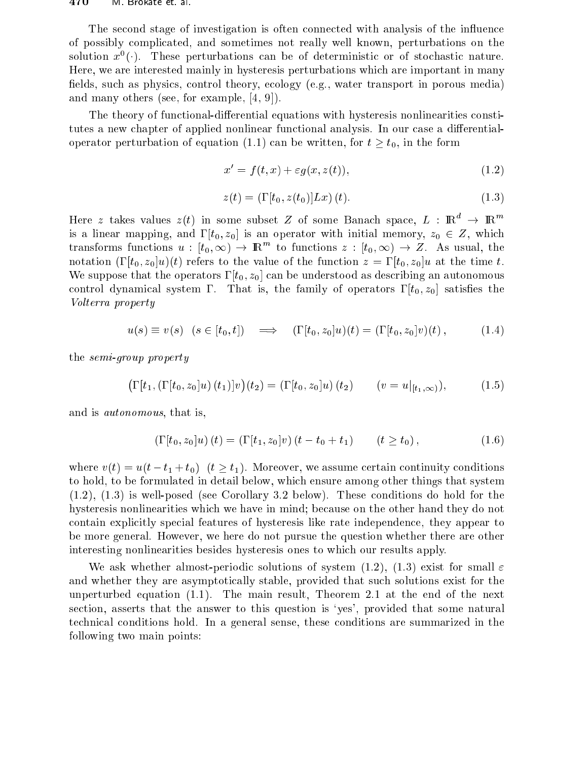#### $470$ IVI. Brokate et al.

The second stage of investigation is often connected with analysis of the influence of possibly complicated, and sometimes not really well known, perturbations on the solution  $x^0(\cdot)$ . These perturbations can be of deterministic or of stochastic nature. Here, we are interested mainly in hysteresis perturbations which are important in many fields, such as physics, control theory, ecology (e.g., water transport in porous media) and many others (see, for example,  $(4, 9)$ ).

The theory of functional-differential equations with hysteresis nonlinearities constitutes a new chapter of applied nonlinear functional analysis. In our case a differentialoperator perturbation of equation (1.1) can be written, for  $t \geq t_0$ , in the form

$$
x' = f(t, x) + \varepsilon g(x, z(t)),
$$
\n(1.2)

$$
z(t) = (\Gamma[t_0, z(t_0)]Lx)(t).
$$
 (1.3)

Here z takes values  $z(t)$  in some subset Z of some Banach space,  $L : \mathbb{R}^d \to \mathbb{R}^m$ is a linear mapping, and  $\Gamma[t_0, z_0]$  is an operator with initial memory,  $z_0 \in Z$ , which transforms functions  $u: [t_0, \infty) \to \mathbb{R}^m$  to functions  $z: [t_0, \infty) \to Z$ . As usual, the notation  $(\Gamma[t_0, z_0]u)(t)$  refers to the value of the function  $z = \Gamma[t_0, z_0]u$  at the time t. We suppose that the operators  $\Gamma[t_0, z_0]$  can be understood as describing an autonomous control dynamical system  $\Gamma$ . That is, the family of operators  $\Gamma[t_0, z_0]$  satisfies the *Volterra property* 

$$
u(s) \equiv v(s) \quad (s \in [t_0, t]) \quad \Longrightarrow \quad (\Gamma[t_0, z_0]u)(t) = (\Gamma[t_0, z_0]v)(t), \quad (1.4)
$$

the *semi-group* property

$$
\left(\Gamma[t_1, (\Gamma[t_0, z_0]u) (t_1)]v\right)(t_2) = (\Gamma[t_0, z_0]u) (t_2) \qquad (v = u|_{[t_1, \infty)}), \qquad (1.5)
$$

and is *autonomous*, that is,

$$
\left(\Gamma[t_0, z_0]u\right)(t) = \left(\Gamma[t_1, z_0]v\right)(t - t_0 + t_1) \qquad (t \ge t_0),\tag{1.6}
$$

where  $v(t) = u(t - t_1 + t_0)$   $(t \ge t_1)$ . Moreover, we assume certain continuity conditions to hold, to be formulated in detail below, which ensure among other things that system  $(1.2)$ ,  $(1.3)$  is well-posed (see Corollary 3.2 below). These conditions do hold for the hysteresis nonlinearities which we have in mind; because on the other hand they do not contain explicitly special features of hysteresis like rate independence, they appear to be more general. However, we here do not pursue the question whether there are other interesting nonlinearities besides hysteresis ones to which our results apply.

We ask whether almost-periodic solutions of system (1.2), (1.3) exist for small  $\varepsilon$ and whether they are asymptotically stable, provided that such solutions exist for the unperturbed equation  $(1.1)$ . The main result, Theorem 2.1 at the end of the next section, asserts that the answer to this question is 'yes', provided that some natural technical conditions hold. In a general sense, these conditions are summarized in the following two main points: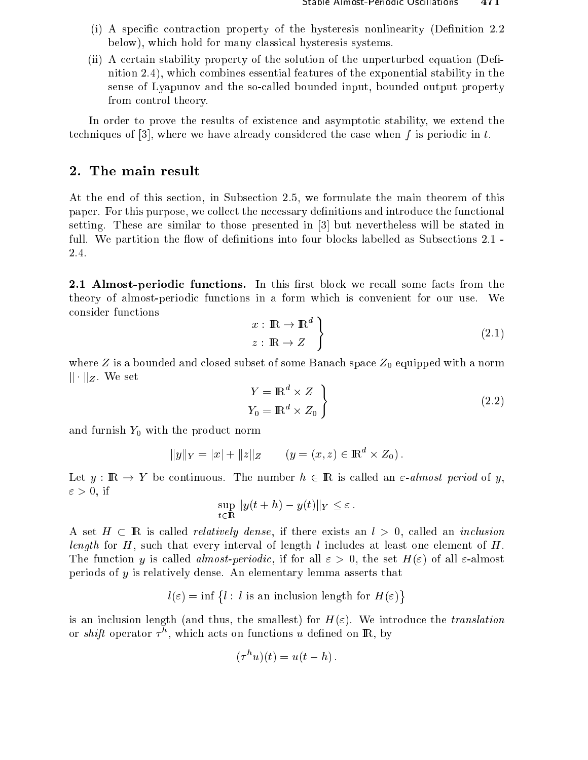- (i) A specific contraction property of the hysteresis nonlinearity (Definition 2.2) below), whi
h hold for many lassi
al hysteresis systems.
- (ii) A certain stability property of the solution of the unperturbed equation (Definition 2.4), whi
h ombines essential features of the exponential stability in the sense of Lyapunov and the so-called bounded input, bounded output property from ontrol theory.

In order to prove the results of existence and asymptotic stability, we extend the techniques of  $[3]$ , where we have already considered the case when f is periodic in t.

#### 2. The main result

At the end of this se
tion, in Subse
tion 2.5, we formulate the main theorem of this paper. For this purpose, we collect the necessary definitions and introduce the functional setting. These are similar to those presented in  $[3]$  but nevertheless will be stated in full. We partition the flow of definitions into four blocks labelled as Subsections 2.1 -2.4.

2.1 Almost-periodic functions. In this first block we recall some facts from the theory of almost-periodi fun
tions in a form whi
h is onvenient for our use. We onsider fun
tions )

$$
\begin{aligned}\nx: \mathbb{R} \to \mathbb{R}^d \\
z: \mathbb{R} \to Z\n\end{aligned}
$$
\n(2.1)

where  $Z$  is a bounded and closed subset of some Banach space  $Z_0$  equipped with a norm k kZ . We set

$$
Y = \mathbb{R}^d \times Z
$$
  
 
$$
Y_0 = \mathbb{R}^d \times Z_0
$$
 (2.2)

and furnish  $Y_0$  with the product norm

$$
||y||_Y = |x| + ||z||_Z \qquad (y = (x, z) \in \mathbb{R}^d \times Z_0).
$$

Let  $y : \mathbb{R} \to Y$  be continuous. The number  $h \in \mathbb{R}$  is called an  $\varepsilon$ -almost period of y.  $\varepsilon > 0$ , if

$$
\sup_{t\in\mathbb{R}}||y(t+h)-y(t)||_Y\leq\varepsilon.
$$

A set  $H \subset \mathbb{R}$  is called *relatively dense*, if there exists an  $l > 0$ , called an *inclusion* length for H, su
h that every interval of length l in
ludes at least one element of H. The function y is called *almost-periodic*, if for all  $\varepsilon > 0$ , the set  $H(\varepsilon)$  of all  $\varepsilon$ -almost periods of y is relatively dense. An elementary lemma asserts that

> $l(\varepsilon) = \inf \{l : l \text{ is an inclusion length for } H(\varepsilon)\}$  $\sim$

is an inclusion length (and thus, the smallest) for  $H(\varepsilon)$ . We introduce the *translation* or  $_{\textit{surfi}}$  operator  $\tau^+$ , which acts on functions  $u$  defined on  $\textbf{r}_0$ , by

$$
(\tau^h u)(t) = u(t - h).
$$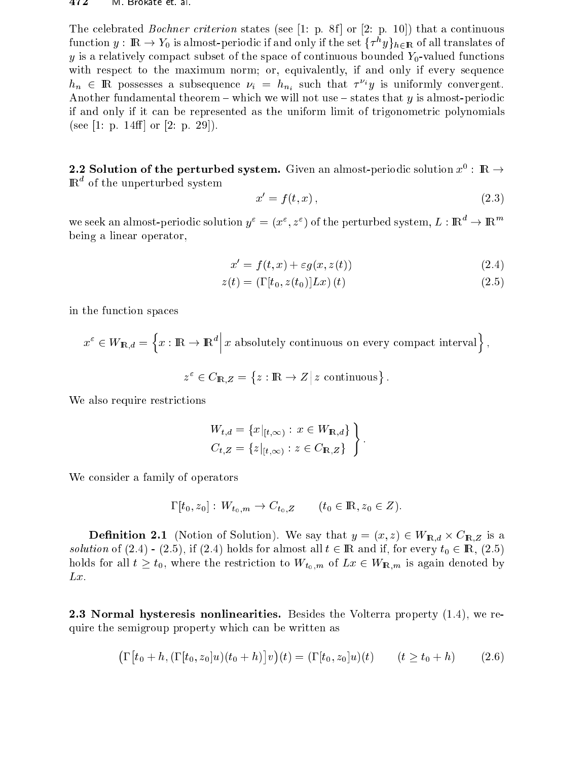The celebrated *Bochner criterion* states (see [1: p. 8f] or [2: p. 10]) that a continuous function  $y: \text{I\!K} \rightarrow Y_0$  is almost-periodic if and only if the set  $\{ \tau^{\ast} y \}_{h \in \mathbb{R}}$  of all translates of y is a relatively compact subset of the space of continuous bounded  $Y_0$ -valued functions with respect to the maximum norm; or, equivalently, if and only if every sequence  $n_n$   $\in$  in possesses a subsequence  $\nu_i = n_{n_i}$  such that  $\tau \cdot y$  is uniformly convergent. Another fundamental theorem – which we will not use – states that y is almost-periodic if and only if it can be represented as the uniform limit of trigonometric polynomials (see [1: p. 14ff] or [2: p. 29]).

**2.2 Solution of the perturbed system.** Given an almost-periodic solution  $x^*$  : In  $\rightarrow$  $\,$  m. The unperturbed system

$$
x' = f(t, x), \tag{2.3}
$$

we seek an almost-periodic solution  $y^*=(x^*,z^*)$  of the perturbed system,  $L:$  IR  $\rightarrow$  IR  $\rightarrow$ being a linear operator,

$$
x' = f(t, x) + \varepsilon g(x, z(t))
$$
\n(2.4)

$$
z(t) = \left(\Gamma[t_0, z(t_0)]\right) L x(t)
$$
\n
$$
(2.5)
$$

in the fun
tion spa
es

$$
x^{\varepsilon} \in W_{\mathbb{R},d} = \left\{ x : \mathbb{R} \to \mathbb{R}^d \, \middle| \, x \text{ absolutely continuous on every compact interval} \right\}
$$

$$
z^{\varepsilon} \in C_{\mathbf{R},Z} = \{ z : \mathbf{R} \to Z \, \vert \, z \text{ continuous} \} .
$$

We also require restrictions

$$
W_{t,d} = \{x|_{[t,\infty)} : x \in W_{\mathbb{R},d}\}\n\nC_{t,Z} = \{z|_{[t,\infty)} : z \in C_{\mathbb{R},Z}\}
$$

We consider a family of operators

$$
\Gamma[t_0, z_0]: W_{t_0, m} \to C_{t_0, Z} \qquad (t_0 \in \mathbb{R}, z_0 \in Z).
$$

Denition 2.1 (Notion of Solution). We say that <sup>y</sup> <sup>=</sup> (x; z) <sup>2</sup> WIR;d - CIR;Z is <sup>a</sup> solution of (2.4) (2.5), if (2.5) and if (2.4) holds for all the computer  $\sim$  2 IR, for every to 2 IR, (2.5) holds for all  $t \geq t_0$ , where the restriction to  $W_{t_0,m}$  of  $Lx \in W_{\mathbb{R},m}$  is again denoted by  $Lx$ .

**2.3 Normal hysteresis nonlinearities.** Besides the Volterra property  $(1.4)$ , we require the semigroup property whi
h an be written as

$$
\left(\Gamma\big[t_0+h, (\Gamma[t_0, z_0]u)(t_0+h)\big]v\right)(t) = (\Gamma[t_0, z_0]u)(t) \qquad (t \ge t_0 + h) \tag{2.6}
$$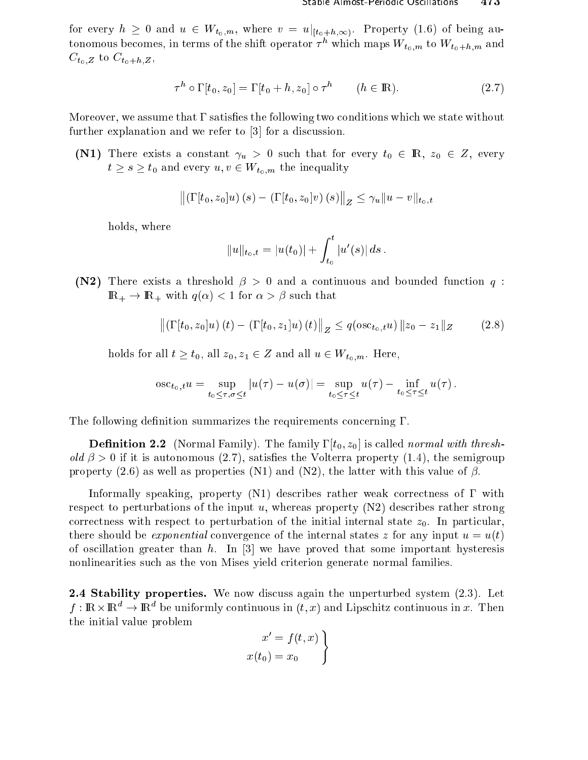for every  $h \geq 0$  and  $u \in W_{t_0,m}$ , where  $v = u|_{[t_0+h,\infty)}$ . Property (1.6) of being autonomous becomes, in terms of the shift operator  $\tau^h$  which maps  $W_{t_0,m}$  to  $W_{t_0+h,m}$  and  $C_{t_0,Z}$  to  $C_{t_0+h,Z}$ ,

$$
\tau^h \circ \Gamma[t_0, z_0] = \Gamma[t_0 + h, z_0] \circ \tau^h \qquad (h \in \mathbb{R}). \tag{2.7}
$$

Moreover, we assume that  $\Gamma$  satisfies the following two conditions which we state without further explanation and we refer to [3] for a discussion.

(N1) There exists a constant  $\gamma_u > 0$  such that for every  $t_0 \in \mathbb{R}$ ,  $z_0 \in Z$ , every  $t \geq s \geq t_0$  and every  $u, v \in W_{t_0,m}$  the inequality

$$
\left\| \left( \Gamma[t_0, z_0] u \right)(s) - \left( \Gamma[t_0, z_0] v \right)(s) \right\|_Z \leq \gamma_u \| u - v \|_{t_0, t}
$$

holds, where

$$
||u||_{t_0,t} = |u(t_0)| + \int_{t_0}^t |u'(s)| ds
$$

(N2) There exists a threshold  $\beta > 0$  and a continuous and bounded function q:  $\mathbb{R}_+ \to \mathbb{R}_+$  with  $q(\alpha) < 1$  for  $\alpha > \beta$  such that

$$
\left\| \left( \Gamma[t_0, z_0]u \right) (t) - \left( \Gamma[t_0, z_1]u \right) (t) \right\|_Z \le q(\text{osc}_{t_0, t}u) \left\| z_0 - z_1 \right\|_Z \tag{2.8}
$$

holds for all  $t \geq t_0$ , all  $z_0, z_1 \in Z$  and all  $u \in W_{t_0,m}$ . Here,

$$
\text{osc}_{t_0,t}u = \sup_{t_0 \leq \tau, \sigma \leq t} |u(\tau) - u(\sigma)| = \sup_{t_0 \leq \tau \leq t} u(\tau) - \inf_{t_0 \leq \tau \leq t} u(\tau).
$$

The following definition summarizes the requirements concerning  $\Gamma$ .

**Definition 2.2** (Normal Family). The family  $\Gamma[t_0, z_0]$  is called *normal with thresh*old  $\beta > 0$  if it is autonomous (2.7), satisfies the Volterra property (1.4), the semigroup property (2.6) as well as properties (N1) and (N2), the latter with this value of  $\beta$ .

Informally speaking, property  $(N1)$  describes rather weak correctness of  $\Gamma$  with respect to perturbations of the input u, whereas property  $(N2)$  describes rather strong correctness with respect to perturbation of the initial internal state  $z_0$ . In particular, there should be *exponential* convergence of the internal states z for any input  $u = u(t)$ of oscillation greater than h. In [3] we have proved that some important hysteresis nonlinearities such as the von Mises yield criterion generate normal families.

2.4 Stability properties. We now discuss again the unperturbed system (2.3). Let  $f:\mathbb{R}\times\mathbb{R}^d\to\mathbb{R}^d$  be uniformly continuous in  $(t,x)$  and Lipschitz continuous in x. Then the initial value problem

$$
\begin{aligned}\nx' &= f(t, x) \\
x(t_0) &= x_0\n\end{aligned}
$$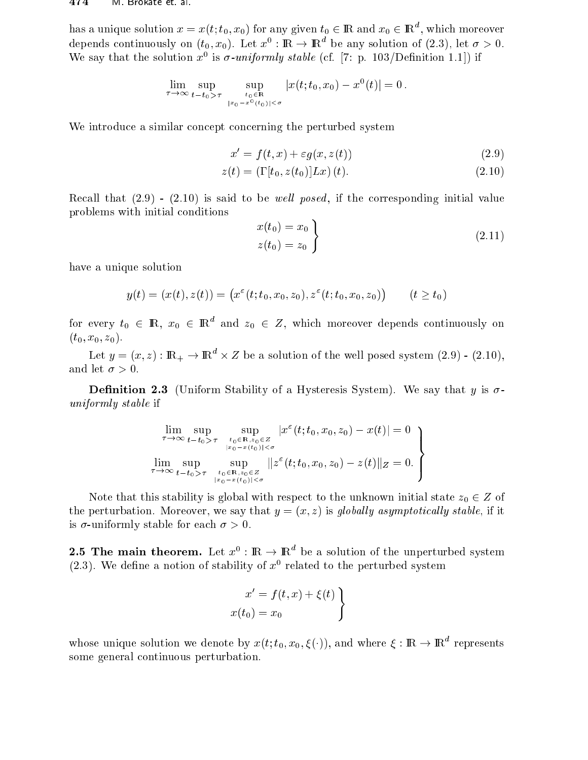has a unique solution  $x = x(t; t_0, x_0)$  for any given  $t_0 \in \mathbb{R}$  and  $x_0 \in \mathbb{R}^n$  , which moreover depends continuously on  $(t_0, x_0)$ . Let  $x^\circ : \mathbb{R} \to \mathbb{R}^\circ$  be any solution of (2.3), let  $\sigma > 0$ . We say that the solution  $x^2$  is  $\theta$ -uniformly stable (cf.  $\pm$  (; p. 103/Definition 1.1) if

$$
\lim_{\tau \to \infty} \sup_{t-t_0 > \tau} \sup_{\substack{t_0 \in \mathbf{R} \\ |x_0 - x^0(t_0)| < \sigma}} |x(t; t_0, x_0) - x^0(t)| = 0.
$$

We introduce a similar concept concerning the perturbed system

$$
x' = f(t, x) + \varepsilon g(x, z(t))
$$
\n(2.9)

$$
z(t) = (\Gamma[t_0, z(t_0)]Lx)(t).
$$
 (2.10)

Recall that  $(2.9)$  -  $(2.10)$  is said to be *well posed*, if the corresponding initial value problems with initial onditions

$$
\begin{aligned}\nx(t_0) &= x_0 \\
z(t_0) &= z_0\n\end{aligned}
$$
\n(2.11)

have a unique solution

$$
y(t) = (x(t), z(t)) = (x^{\varepsilon}(t; t_0, x_0, z_0), z^{\varepsilon}(t; t_0, x_0, z_0)) \qquad (t \ge t_0)
$$

for every  $t_0 \in \mathbb{R}, \; x_0 \; \in \; \mathbb{R}^+$  and  $z_0 \; \in \; Z,$  which moreover depends continuously on  $(t_0, x_0, z_0).$ 

Let  $y=(x,z):{\rm l}\rm K_+ \to {\rm l}\rm K_- \times Z$  be a solution of the well posed system (2.9) - (2.10), and let  $\sigma > 0$ .

**Definition 2.3** (Uniform Stability of a Hysteresis System). We say that y is  $\sigma$ uniformly stable in the stable in the stable in the stable in the stable in the stable in the stable in the sta

$$
\lim_{\tau \to \infty} \sup_{t-t_0 > \tau} \sup_{\substack{t_0 \in \mathbb{R}, z_0 \in Z \\ |x_0 - x(t_0)| < \sigma}} |x^{\varepsilon}(t; t_0, x_0, z_0) - x(t)| = 0 \choose \lim_{\substack{t_0 - x(t_0)| < \sigma \\ t_0 \in \mathbb{R}, z_0 \in Z}} \|z^{\varepsilon}(t; t_0, x_0, z_0) - z(t)\|_Z = 0.
$$

Note that this stability is global with respect to the unknown initial state  $z_0 \in Z$  of the perturbation. Moreover, we say that  $y = (x, z)$  is globally asymptotically stable, if it is  $\sigma$ -uniformly stable for each  $\sigma > 0$ .

**2.5 The main theorem.** Let  $x^{\circ}$  : IR  $\rightarrow$  IR be a solution of the unperturbed system (2.3). We define a notion of stability of  $x^\downarrow$  related to the perturbed system

$$
x' = f(t, x) + \xi(t)
$$
  

$$
x(t_0) = x_0
$$

whose unique solution we denote by  $x(t; t_0, x_0, \xi(\cdot))$ , and where  $\xi : \mathbb{R} \to \mathbb{R}^+$  represents some general ontinuous perturbation.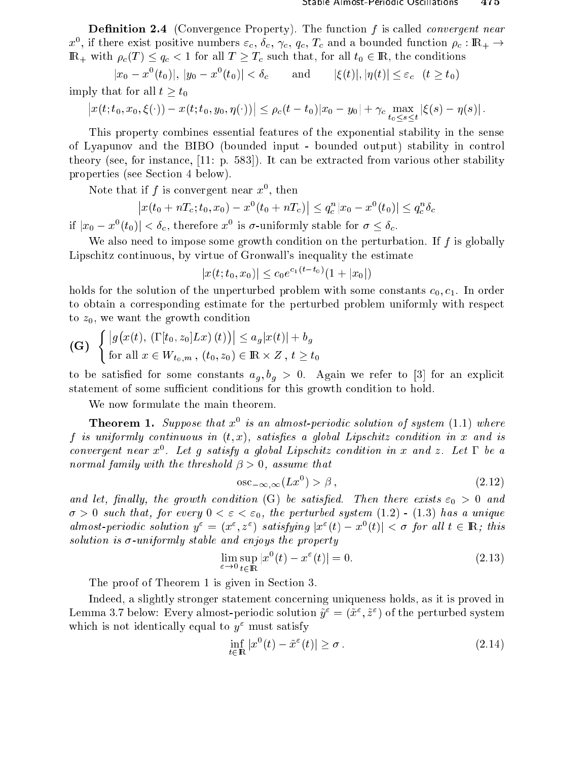**Definition 2.4** (Convergence Property). The function  $f$  is called *convergent near*  $x^*$ , if there exist positive numbers  $\varepsilon_c$ ,  $\theta_c$ ,  $\gamma_c$ ,  $q_c$ ,  $I_c$  and a bounded function  $\rho_c$  : If( $_+$   $\rightarrow$  $\mathbb{R}_+$  with  $\rho_c(T) \leq q_c < 1$  for all  $T \geq T_c$  such that, for all  $t_0 \in \mathbb{R}$ , the conditions

 $|x_0 - x(t_0)|, |y_0 - x_0|$ and  $|\xi(t)|, |\eta(t)| \leq \varepsilon_c \quad (t \geq t_0)$ imply that for all  $t \geq t_0$ 

$$
\left|x(t;t_0,x_0,\xi(\cdot))-x(t;t_0,y_0,\eta(\cdot))\right|\leq \rho_c(t-t_0)|x_0-y_0|+\gamma_c \max_{t_0\leq s\leq t}|\xi(s)-\eta(s)|.
$$

This property ombines essential features of the exponential stability in the sense of Lyapunov and the BIBO (bounded input - bounded output) stability in ontrol theory (see, for instance,  $[11: p. 583]$ ). It can be extracted from various other stability properties (see Section 4 below).

ivote that if  $f$  is convergent near  $x^\downarrow$  , then

$$
\left| x(t_0 + nT_c; t_0, x_0) - x^0(t_0 + nT_c) \right| \le q_c^n |x_0 - x^0(t_0)| \le q_c^n \delta_c
$$

If  $|x_0-x^-(t_0)| < \theta_c$ , therefore x is  $\sigma$ -uniformly stable for  $\sigma \leq \theta_c$ .

We also need to impose some growth condition on the perturbation. If  $f$  is globally Lips
hitz ontinuous, by virtue of Gronwall's inequality the estimate

$$
|x(t; t_0, x_0)| \le c_0 e^{c_1(t - t_0)} (1 + |x_0|)
$$

holds for the solution of the unperturbed problem with some constants  $c_0, c_1$ . In order to obtain a orresponding estimate for the perturbed problem uniformly with respe
t to  $z_0$ , we want the growth condition

$$
\begin{aligned} \textbf{(G)} \quad & \left\{ \left| g\big(x(t), \left(\Gamma[t_0, z_0] L x\right)(t)\right) \right| \le a_g |x(t)| + b_g \\ \text{for all } x \in W_{t_0, m}, \ (t_0, z_0) \in \mathbb{R} \times Z, \ t \ge t_0 \end{aligned} \right.
$$

to be satisfactor and bedien communication  $Q$  ; by an explicit to form in [3] and the component statement of some sufficient conditions for this growth condition to hold.

We now formulate the main theorem.

**Theorem 1.** Suppose that x<sup>-</sup> is an almost-periodic solution of system  $(1.1)$  where f is uniformly continuous in  $(t, x)$ , satisfies a global Lipschitz condition in x and is convergent near  $x^{\perp}$ . Let  $q$  satisfy a global Lipschitz condition in  $x$  and  $z$ . Let  $1$  be a normal family with the threshold  > 0, assume that

$$
\operatorname{osc}_{-\infty,\infty}(Lx^0) > \beta\,,\tag{2.12}
$$

and let, is a complete that the growth condition (Se) be satisfactored. Then there exists  $\bullet$   $\bullet$  or and the  $\sigma > 0$  such that, for every  $0 < \varepsilon < \varepsilon_0$ , the perturbed system  $(1.2)$  -  $(1.3)$  has a unique almost-periodic solution  $y^* = (x^*, z^*)$  satisfying  $|x^*(t) - x^*(t)| \leq \sigma$  for all  $t \in \mathbb{R}$ ; this solution is -uniformly stable and enjoys the property

$$
\lim_{\varepsilon \to 0} \sup_{t \in \mathbb{R}} |x^0(t) - x^{\varepsilon}(t)| = 0.
$$
\n(2.13)

The proof of Theorem 1 is given in Section 3.

Indeed, a slightly stronger statement on
erning uniqueness holds, as it is proved in Lemma 5.7 below: Every almost-periodic solution  $y^+ = (x^+, z^+)$  of the perturbed system which is not identically equal to  $y^{\varepsilon}$  must satisfy

$$
\inf_{t \in \mathbb{R}} |x^0(t) - \tilde{x}^{\varepsilon}(t)| \ge \sigma. \tag{2.14}
$$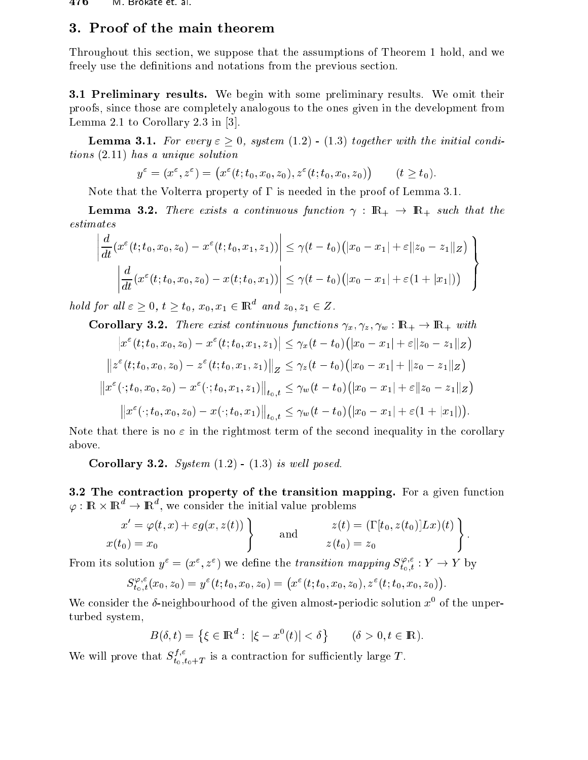$\mathbf{r}$ 

### 3. Proof of the main theorem

Throughout this se
tion, we suppose that the assumptions of Theorem 1 hold, and we freely use the definitions and notations from the previous section.

**3.1 Preliminary results.** We begin with some preliminary results. We omit their proofs, sin
e those are ompletely analogous to the ones given in the development from Lemma 2.1 to Corollary 2.3 in  $[3]$ .

**Lemma 3.1.** For every  $\varepsilon \geq 0$ , system (1.2) - (1.3) together with the initial conditions (2.11) has a unique solution  $\mathbf{1}$ 

$$
y^{\varepsilon} = (x^{\varepsilon}, z^{\varepsilon}) = (x^{\varepsilon}(t; t_0, x_0, z_0), z^{\varepsilon}(t; t_0, x_0, z_0)) \qquad (t \ge t_0).
$$

Note that the Volterra property of  $\Gamma$  is needed in the proof of Lemma 3.1.

**Lemma 3.2.** There exists a continuous function  $\gamma : \mathbb{R}_+ \to \mathbb{R}_+$  such that the

 

$$
\left| \frac{d}{dt} (x^{\varepsilon}(t; t_0, x_0, z_0) - x^{\varepsilon}(t; t_0, x_1, z_1)) \right| \leq \gamma (t - t_0) (|x_0 - x_1| + \varepsilon ||z_0 - z_1||_Z) \n\left| \frac{d}{dt} (x^{\varepsilon}(t; t_0, x_0, z_0) - x(t; t_0, x_1)) \right| \leq \gamma (t - t_0) (|x_0 - x_1| + \varepsilon (1 + |x_1|))
$$

hold for all  $\varepsilon \geq 0, t \geq t_0, x_0, x_1 \in \mathbb{R}^n$  and  $z_0, z_1 \in \mathbb{Z}$ .

Corollary 3.2. There exist continuous functions 
$$
\gamma_x, \gamma_z, \gamma_w : \mathbb{R}_+ \to \mathbb{R}_+
$$
 with  
\n
$$
\left| x^{\varepsilon}(t; t_0, x_0, z_0) - x^{\varepsilon}(t; t_0, x_1, z_1) \right| \leq \gamma_x (t - t_0) \left( |x_0 - x_1| + \varepsilon ||z_0 - z_1||_Z \right)
$$
\n
$$
\left\| z^{\varepsilon}(t; t_0, x_0, z_0) - z^{\varepsilon}(t; t_0, x_1, z_1) \right\|_Z \leq \gamma_z (t - t_0) \left( |x_0 - x_1| + ||z_0 - z_1||_Z \right)
$$
\n
$$
\left\| x^{\varepsilon}(\cdot; t_0, x_0, z_0) - x^{\varepsilon}(\cdot; t_0, x_1, z_1) \right\|_{t_0, t} \leq \gamma_w (t - t_0) \left( |x_0 - x_1| + \varepsilon ||z_0 - z_1||_Z \right)
$$
\n
$$
\left\| x^{\varepsilon}(\cdot; t_0, x_0, z_0) - x(\cdot; t_0, x_1) \right\|_{t_0, t} \leq \gamma_w (t - t_0) \left( |x_0 - x_1| + \varepsilon (1 + |x_1|) \right).
$$

Note that there is no  $\varepsilon$  in the rightmost term of the second inequality in the corollary above.

Corollary 3.2. System  $(1.2)$  -  $(1.3)$  is well posed.

3.2 The contraction property of the transition mapping. For a given function  $\varphi: \text{{\rm I\!R}}\times \text{{\rm I\!R}}\ \to \text{{\rm I\!R}}$  , we consider the initial value problems

$$
x' = \varphi(t, x) + \varepsilon g(x, z(t))
$$
  
and  

$$
x(t_0) = x_0
$$
 and  

$$
z(t) = (\Gamma[t_0, z(t_0)]Lx)(t)
$$
  

$$
z(t_0) = z_0
$$

From its solution  $y^{\varepsilon} = (x^{\varepsilon}, z^{\varepsilon})$  we define the transition mapping  $S_{t,s}^{\varphi,\varepsilon}$  $t_0,t$   $\qquad \qquad \nu$ 

$$
S_{t_0,t}^{\varphi,\varepsilon}(x_0,z_0)=y^{\varepsilon}(t;t_0,x_0,z_0)=\big(x^{\varepsilon}(t;t_0,x_0,z_0),z^{\varepsilon}(t;t_0,x_0,z_0)\big).
$$

We consider the  $\theta$ -neighbourhood of the given almost-periodic solution  $x^{\epsilon}$  of the unperturbed system,

$$
B(\delta, t) = \left\{ \xi \in \mathbb{R}^d : |\xi - x^0(t)| < \delta \right\} \quad (\delta > 0, t \in \mathbb{R}).
$$

We will prove that  $S_{t_0,t_0+T}^{\prime\prime}$  is a contraction for sufficiently large T.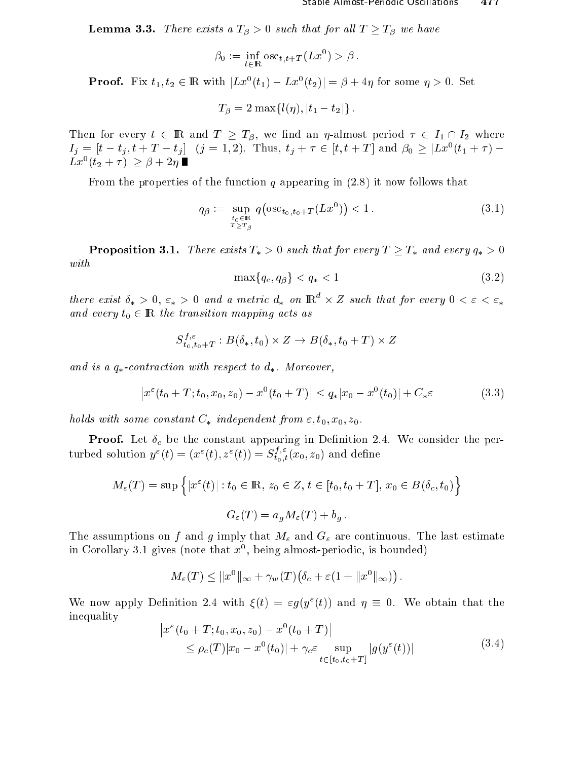$-$  ------- . There exists a  $\mathcal{L}$  , we have independent of  $\mathcal{L}$  and  $\mathcal{L}$ 

$$
\beta_0 := \inf_{t \in \mathbb{R}} \text{osc}_{t,t+T}(Lx^0) > \beta.
$$

**Proof.** Fix  $t_1, t_2 \in \mathbb{R}$  with  $|Lx_1(t_1) - Lx_1(t_2)| = p + 4\eta$  for some  $\eta > 0$ . Set

$$
T_{\beta} = 2 \max\{l(\eta), |t_1 - t_2|\}.
$$

Then for every then for every then the state  $\mu$  and  $\mu$  and  $\mu$  and an  $\mu$  where  $\mu$  in  $\mu$  $I_j = |t - t_j, t + 1 - t_j|$  ( $j = 1, 2$ ). Thus,  $t_j + \tau \in [t, t + 1]$  and  $p_0 \geq |Lx(t_1 + \tau)| - 1$  $Lx$   $(t_2 + 7)$   $\geq$   $\rho$  + 21]

From the properties of the function q appearing in  $(2.8)$  it now follows that

$$
q_{\beta} := \sup_{\substack{t_0 \in \mathbb{R} \\ T \ge T_{\beta}}} q\left(\csc_{t_0, t_0 + T}(Lx^0)\right) < 1. \tag{3.1}
$$

**Proposition 3.1.** There exists  $T_* > 0$  such that for every  $T \geq T_*$  and every  $q_* > 0$ 

$$
\max\{q_c, q_\beta\} < q_* < 1\tag{3.2}
$$

there exist  $o_* > 0$ ,  $\varepsilon_* > 0$  and a metric  $a_*$  on  $\operatorname{I\!K}^{\!\!\!\!\sim} \times Z$  such that for every  $0 < \varepsilon < \varepsilon_*$ and every top 2 2 in the transition mapping asset as

$$
S_{t_0,t_0+T}^{f,\varepsilon}: B(\delta_*, t_0) \times Z \to B(\delta_*, t_0+T) \times Z
$$

and is a complete to describe the second of the second complete the second second

$$
\left| x^{\varepsilon}(t_0 + T; t_0, x_0, z_0) - x^0(t_0 + T) \right| \leq q_* |x_0 - x^0(t_0)| + C_* \varepsilon \tag{3.3}
$$

holds with some onstant C independent from "; t0; x0; z0.

Proof. Let Æ be the onstant appearing in Denition 2.4. We onsider the perturbed solution  $y^{\circ}(t)=(x^{\circ}(t),z^{\circ}(t))=S_{t_0,t}^{\circ}(x_0,z_0)$  and define

$$
M_{\varepsilon}(T) = \sup \left\{ |x^{\varepsilon}(t)| : t_0 \in \mathbb{R}, z_0 \in Z, t \in [t_0, t_0 + T], x_0 \in B(\delta_c, t_0) \right\}
$$
  

$$
G_{\varepsilon}(T) = a_q M_{\varepsilon}(T) + b_q.
$$

The assumption on f and g imply that  $\mu$  imply that Mg imply that Mathematic and The last estimate interesting in Coronary 3.1 gives (note that  $x^*$ , being almost-periodic, is bounded)

$$
M_{\varepsilon}(T) \leq ||x^0||_{\infty} + \gamma_w(T)(\delta_c + \varepsilon(1 + ||x^0||_{\infty}))
$$

We now apply Definition 2.4 with  $\zeta(t) = \varepsilon q(y(t))$  and  $\eta = 0$ . We obtain that the inequality

$$
\begin{aligned} \left| x^{\varepsilon}(t_0 + T; t_0, x_0, z_0) - x^0(t_0 + T) \right| \\ &\leq \rho_c(T) |x_0 - x^0(t_0)| + \gamma_c \varepsilon \sup_{t \in [t_0, t_0 + T]} |g(y^{\varepsilon}(t))| \end{aligned} \tag{3.4}
$$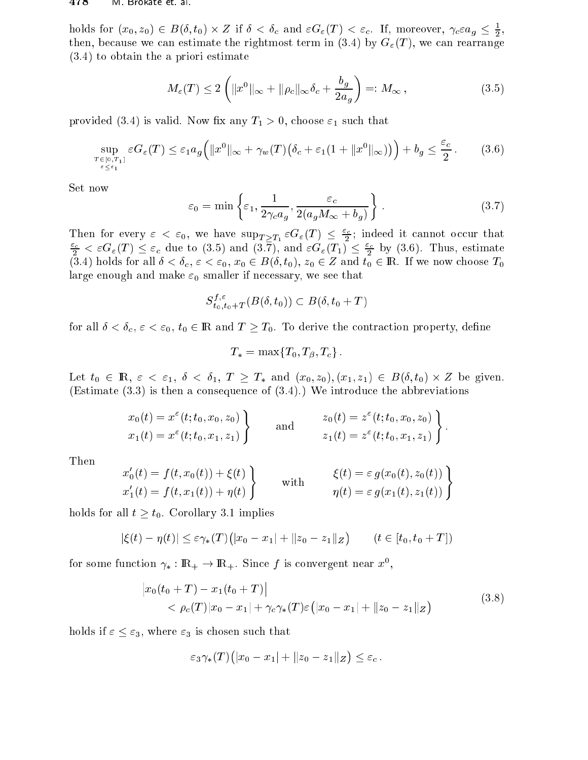#### $478$ IVI Brokate et al.

holds for  $(x_0, z_0) \in B(\delta, t_0) \times Z$  if  $\delta < \delta_c$  and  $\varepsilon G_{\varepsilon}(T) < \varepsilon_c$ . If, moreover,  $\gamma_c \varepsilon a_g \leq \frac{1}{2}$ . then, because we can estimate the rightmost term in (3.4) by  $G_{\varepsilon}(T)$ , we can rearrange  $(3.4)$  to obtain the a priori estimate

$$
M_{\varepsilon}(T) \le 2\left(\|x^0\|_{\infty} + \|\rho_c\|_{\infty}\delta_c + \frac{b_g}{2a_g}\right) =: M_{\infty},\tag{3.5}
$$

provided (3.4) is valid. Now fix any  $T_1 > 0$ , choose  $\varepsilon_1$  such that

$$
\sup_{\substack{T \in [0,T_1] \\ \varepsilon \le \varepsilon_1}} \varepsilon G_{\varepsilon}(T) \le \varepsilon_1 a_g \Big( \|x^0\|_{\infty} + \gamma_w(T) \big( \delta_c + \varepsilon_1 (1 + \|x^0\|_{\infty}) \big) \Big) + b_g \le \frac{\varepsilon_c}{2}.
$$
 (3.6)

Set now

$$
\varepsilon_0 = \min\left\{\varepsilon_1, \frac{1}{2\gamma_c a_g}, \frac{\varepsilon_c}{2(a_g M_\infty + b_g)}\right\}.
$$
\n(3.7)

Then for every  $\varepsilon < \varepsilon_0$ , we have  $\sup_{T \geq T_1} \varepsilon G_{\varepsilon}(T) \leq \frac{\varepsilon_c}{2}$ ; indeed it cannot occur that  $\frac{\varepsilon_c}{2} < \varepsilon G_{\varepsilon}(T) \leq \varepsilon_c$  due to (3.5) and  $(3.\overline{7})$ , and  $\varepsilon G_{\varepsilon}(T_1) \leq \frac{\varepsilon_c}{2}$  by (3.6). Thus, estimate (3.4) holds for all  $\delta < \delta_c$ ,  $\varepsilon < \varepsilon_0$ ,  $x_0 \in B(\delta, t_0)$ ,  $z_0 \in Z$  and  $t_0 \in \mathbb{R}$ . If we now choose  $T_0$ large enough and make  $\varepsilon_0$  smaller if necessary, we see that

$$
S^{f,\varepsilon}_{t_0,t_0+T}(B(\delta,t_0))\subset B(\delta,t_0+T)
$$

for all  $\delta < \delta_c$ ,  $\varepsilon < \varepsilon_0$ ,  $t_0 \in \mathbb{R}$  and  $T \geq T_0$ . To derive the contraction property, define

$$
T_* = \max\{T_0, T_\beta, T_c\}.
$$

Let  $t_0 \in \mathbb{R}$ ,  $\varepsilon < \varepsilon_1$ ,  $\delta < \delta_1$ ,  $T \geq T_*$  and  $(x_0, z_0), (x_1, z_1) \in B(\delta, t_0) \times Z$  be given. (Estimate  $(3.3)$ ) is then a consequence of  $(3.4)$ .) We introduce the abbreviations

$$
x_0(t) = x^{\varepsilon}(t; t_0, x_0, z_0)
$$
  
\n $x_1(t) = x^{\varepsilon}(t; t_0, x_1, z_1)$  and  $x_0(t) = z^{\varepsilon}(t; t_0, x_0, z_0)$   
\n $z_1(t) = z^{\varepsilon}(t; t_0, x_1, z_1)$ 

Then

$$
\begin{aligned}\nx_0'(t) &= f(t, x_0(t)) + \xi(t) \\
x_1'(t) &= f(t, x_1(t)) + \eta(t)\n\end{aligned}\n\quad \text{with} \quad\n\begin{aligned}\n\xi(t) &= \varepsilon g(x_0(t), z_0(t)) \\
\eta(t) &= \varepsilon g(x_1(t), z_1(t))\n\end{aligned}\n\right\}
$$

holds for all  $t \geq t_0$ . Corollary 3.1 implies

$$
|\xi(t) - \eta(t)| \le \varepsilon \gamma_*(T) (|x_0 - x_1| + ||z_0 - z_1||_Z) \qquad (t \in [t_0, t_0 + T])
$$

for some function  $\gamma_* : \mathbb{R}_+ \to \mathbb{R}_+$ . Since f is convergent near  $x^0$ ,

$$
\begin{aligned} \left| x_0(t_0 + T) - x_1(t_0 + T) \right| \\ &< \rho_c(T) |x_0 - x_1| + \gamma_c \gamma_*(T) \varepsilon \left( |x_0 - x_1| + \|z_0 - z_1\|_Z \right) \end{aligned} \tag{3.8}
$$

holds if  $\varepsilon \leq \varepsilon_3$ , where  $\varepsilon_3$  is chosen such that

$$
\varepsilon_3\gamma_*(T)\big(|x_0-x_1|+\|z_0-z_1\|_Z\big)\leq\varepsilon_c.
$$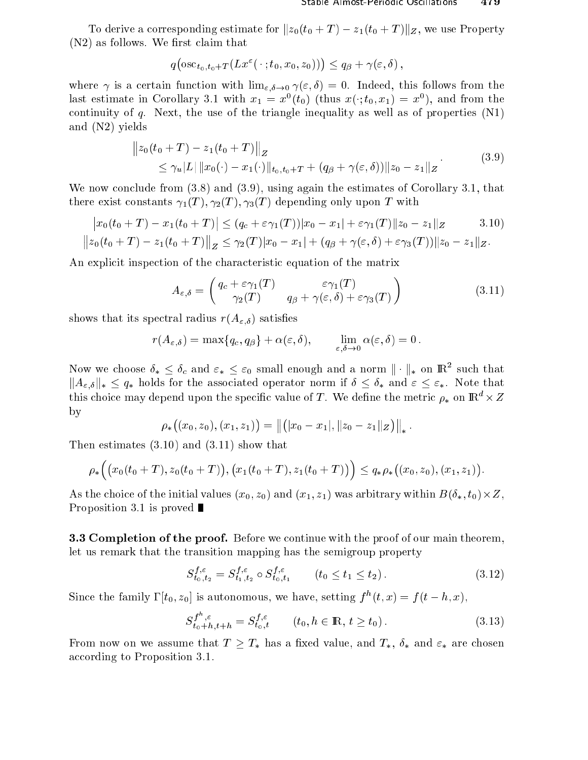To derive a corresponding estimate for  $||z_0(t_0 + T) - z_1(t_0 + T)||_Z$ , we use Property  $(N2)$  as follows. We first claim that

$$
q\big(\mathrm{osc}_{t_0,t_0+T}(Lx^{\varepsilon}(\,\cdot\,;t_0,x_0,z_0))\big)\leq q_{\beta}+\gamma(\varepsilon,\delta)\,,
$$

where  $\gamma$  is a certain function with  $\lim_{\varepsilon,\delta\to 0} \gamma(\varepsilon,\delta) = 0$ . Indeed, this follows from the rast estimate in Coronary 3.1 with  $x_1 = x^*(\iota_0)$  (thus  $x(\cdot; \iota_0, x_1) = x^*$ ), and from the continuity of q. Next, the use of the triangle inequality as well as of properties  $(N1)$ and (N2) yields

$$
||z_0(t_0 + T) - z_1(t_0 + T)||_Z
$$
  
\n
$$
\leq \gamma_u |L| ||x_0(\cdot) - x_1(\cdot)||_{t_0, t_0 + T} + (q_\beta + \gamma(\varepsilon, \delta)) ||z_0 - z_1||_Z
$$
\n(3.9)

We now conclude from (3.8) and (3.9), using again the estimates of Corollary 3.1, that there exist constants  $\gamma_1(T), \gamma_2(T), \gamma_3(T)$  depending only upon T with

$$
\begin{aligned} \left| x_0(t_0+T) - x_1(t_0+T) \right| &\leq (q_c + \varepsilon \gamma_1(T)) |x_0 - x_1| + \varepsilon \gamma_1(T) ||z_0 - z_1||_Z \qquad 3.10) \\ \left\| z_0(t_0+T) - z_1(t_0+T) \right\|_Z &\leq \gamma_2(T) |x_0 - x_1| + (q_\beta + \gamma(\varepsilon, \delta) + \varepsilon \gamma_3(T)) ||z_0 - z_1||_Z. \end{aligned}
$$

An explicit inspection of the characteristic equation of the matrix

$$
A_{\varepsilon,\delta} = \begin{pmatrix} q_c + \varepsilon \gamma_1(T) & \varepsilon \gamma_1(T) \\ \gamma_2(T) & q_\beta + \gamma(\varepsilon,\delta) + \varepsilon \gamma_3(T) \end{pmatrix}
$$
(3.11)

shows that its spectral radius  $r(A_{\varepsilon,\delta})$  satisfies

$$
r(A_{\varepsilon,\delta}) = \max\{q_c,q_\beta\} + \alpha(\varepsilon,\delta), \qquad \lim_{\varepsilon,\delta \to 0} \alpha(\varepsilon,\delta) = 0.
$$

Now we choose  $\theta_* \leq \theta_c$  and  $\varepsilon_* \leq \varepsilon_0$  small enough and a norm  $\|\cdot\|_*$  on  $\mathbb{R}^+$  such that  $||A_{\varepsilon,\delta}||_* \leq q_*$  holds for the associated operator norm if  $\delta \leq \delta_*$  and  $\varepsilon \leq \varepsilon_*$ . Note that this choice may depend upon the specific value of T . We define the metric  $\rho_*$  on IR  $^{\circ}$   $\times$  Z by

$$
\rho_*((x_0,z_0),(x_1,z_1))=\|(|x_0-x_1|,\|z_0-z_1\|_Z)\|_*.
$$

Then estimates (3.10) and (3.11) show that

$$
\rho_*\Big(\big(x_0(t_0+T),z_0(t_0+T)\big),\big(x_1(t_0+T),z_1(t_0+T)\big)\Big)\leq q_*\rho_*\big((x_0,z_0),(x_1,z_1)\big).
$$

 $\lambda$  (v) (v) and  $\lambda$  (x) and (x)  $\lambda$  (x) with  $\lambda$ Proposition 3.1 is proved  $\blacksquare$ 

**3.3 Completion of the proof.** Before we continue with the proof of our main theorem. let us remark that the transition mapping has the semigroup property

$$
S_{t_0, t_2}^{f, \varepsilon} = S_{t_1, t_2}^{f, \varepsilon} \circ S_{t_0, t_1}^{f, \varepsilon} \qquad (t_0 \le t_1 \le t_2). \tag{3.12}
$$

Since the family  $1\left[t_0,z_0\right]$  is autonomous, we have, setting  $f^{\pi}(t,x) = f(t-n,x)$ ,

$$
S_{t_0+h,t+h}^{f^h,\varepsilon} = S_{t_0,t}^{f,\varepsilon} \qquad (t_0, h \in \mathbb{R}, t \ge t_0).
$$
 (3.13)

From now on we assume that  $T \geq T_*$  has a fixed value, and  $T_*$ ,  $\delta_*$  and  $\varepsilon_*$  are chosen according to Proposition 3.1.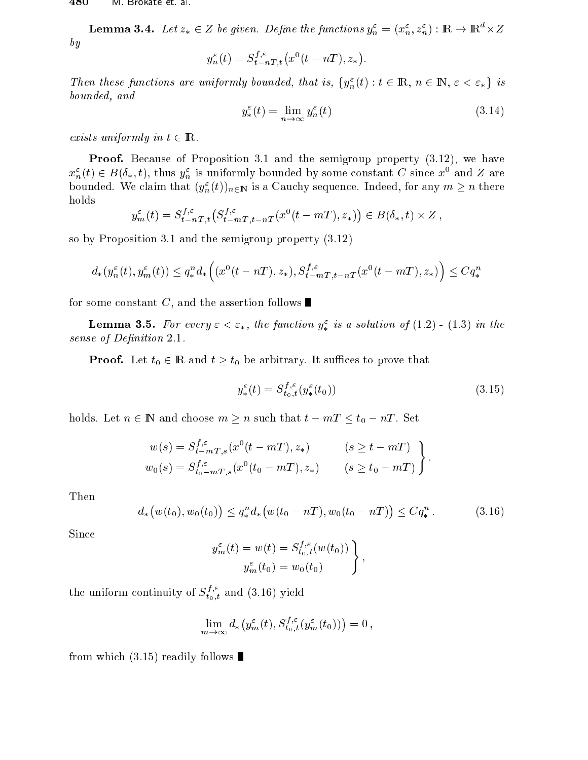**Lemma 3.4.** Let  $z_* \in Z$  be given. Define the functions  $y_n^* = (x_n^*, z_n^*)$  : IK  $\rightarrow$  IK  $\times Z$  $-$ 

$$
y_n^{\varepsilon}(t) = S_{t-nT,t}^{f,\varepsilon}(x^0(t - nT), z_*).
$$

Then these functions are uniformly bounded, that is,  $\{y_n(t): t \in \mathbb{R}, n \in \mathbb{N}, \varepsilon < \varepsilon_*\}$  is bounded, and

$$
y_*^{\varepsilon}(t) = \lim_{n \to \infty} y_n^{\varepsilon}(t) \tag{3.14}
$$

exists uniformly in the 2 IR. The 2 IR. The 2 IR. The 2 IR. The 2 IR. The 2 IR. The 2 IR. The 2 IR. The 2 IR.

Proof. Because of Proposition 3.1 and the semigroup property  $(3.12)$ , we have  $x_n^-(t) \in D(0_*, t)$ , thus  $y_n^+$  is uniformly bounded by some constant C since  $x^+$  and Z are bounded. We claim that  $(y_n^{\varepsilon}(t))_{n\in\mathbb{N}}$  is a Cauchy sequence. Indeed, for any  $m\geq n$  there holds

$$
y_m^{\varepsilon}(t) = S_{t-nT,t}^{f,\varepsilon}(S_{t-mT,t-nT}^{f,\varepsilon}(x^0(t-mT),z_*)) \in B(\delta_*,t) \times Z,
$$

so by Proposition 3.1 and the semigroup property (3.12)

$$
d_*(y_n^{\varepsilon}(t), y_m^{\varepsilon}(t)) \le q_*^n d_*\Big((x^0(t - nT), z_*), S_{t-mT, t-nT}^{f, \varepsilon}(x^0(t - mT), z_*)\Big) \le Cq_*^n
$$

for some constant C, and the assertion follows

**Lemma 3.5.** For every  $\varepsilon < \varepsilon_*$ , the function  $y_*$  is a solution of (1.2) - (1.3) in the sense of Denition 2:1.

**Proof.** Let  $t_0 \in \mathbb{R}$  and  $t \geq t_0$  be arbitrary. It suffices to prove that

$$
y_*^{\varepsilon}(t) = S_{t_0,t}^{f,\varepsilon}(y_*^{\varepsilon}(t_0))
$$
\n(3.15)

holds. Let  $n \in \mathbb{N}$  and choose  $m \ge n$  such that  $t - mT \le t_0 - nT$ . Set

$$
w(s) = S_{t-mT,s}^{f,\epsilon}(x^0(t - mT), z_*)
$$
 (s  $\geq t - mT$ )  
\n
$$
w_0(s) = S_{t_0-mT,s}^{f,\epsilon}(x^0(t_0 - mT), z_*)
$$
 (s  $\geq t_0 - mT$ )

Then

$$
d_*\big(w(t_0), w_0(t_0)\big) \le q_*^n d_*\big(w(t_0 - nT), w_0(t_0 - nT)\big) \le C q_*^n. \tag{3.16}
$$

Sin
e

$$
y_m^{\varepsilon}(t) = w(t) = S_{t_0,t}^{f,\varepsilon}(w(t_0))
$$
  

$$
y_m^{\varepsilon}(t_0) = w_0(t_0)
$$

the uniform continuity of  $S_{t_0\,,\,t}^{\,\,\prime}$  and (3.16) yield

$$
\lim_{m\to\infty}d_*\left(y_m^{\varepsilon}(t),S_{t_0,t}^{f,\varepsilon}(y_m^{\varepsilon}(t_0))\right)=0,
$$

from which  $(3.15)$  readily follows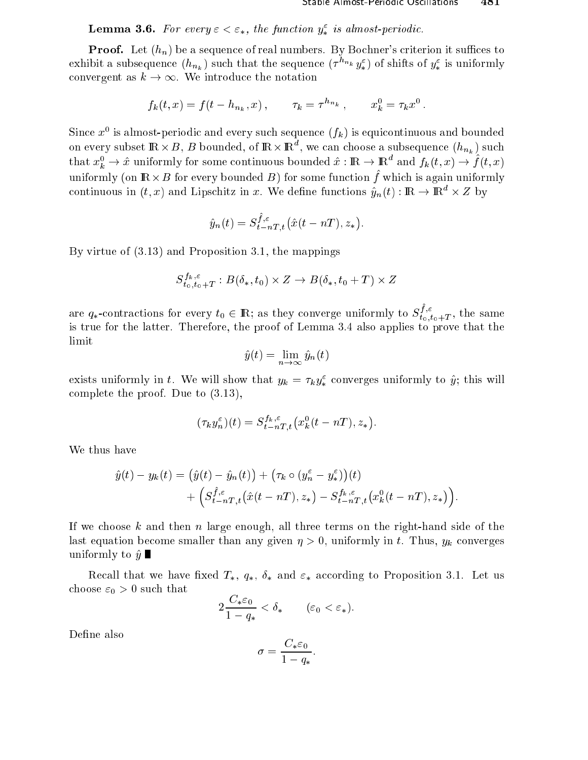**Lemma 3.6.** For every  $\varepsilon < \varepsilon_*$ , the function  $y_*^{\varepsilon}$  is almost-periodic.

**Proof.** Let  $(h_n)$  be a sequence of real numbers. By Bochner's criterion it suffices to exhibit a subsequence  $(h_{n_k})$  such that the sequence  $(\tau^{h_{n_k}}y^{\varepsilon}_*)$  of shifts of  $y^{\varepsilon}_*$  is uniformly convergent as  $k \to \infty$ . We introduce the notation

$$
f_k(t, x) = f(t - h_{n_k}, x), \qquad \tau_k = \tau^{h_{n_k}}, \qquad x_k^0 = \tau_k x^0.
$$

Since  $x^0$  is almost-periodic and every such sequence  $(f_k)$  is equicontinuous and bounded on every subset  $\mathbb{R} \times B$ , B bounded, of  $\mathbb{R} \times \mathbb{R}^d$ , we can choose a subsequence  $(h_{n_k})$  such that  $x_k^0 \to \hat{x}$  uniformly for some continuous bounded  $\hat{x}: \mathbb{R} \to \mathbb{R}^d$  and  $f_k(t, x) \to \hat{f}(t, x)$ uniformly (on  $\mathbb{R} \times B$  for every bounded B) for some function  $\hat{f}$  which is again uniformly continuous in  $(t, x)$  and Lipschitz in x. We define functions  $\hat{y}_n(t) : \mathbb{R} \to \mathbb{R}^d \times Z$  by

$$
\hat{y}_n(t) = S_{t-nT,t}^{\hat{f},\varepsilon}(\hat{x}(t-nT),z_*)
$$

By virtue of  $(3.13)$  and Proposition 3.1, the mappings

$$
S^{f_k,\varepsilon}_{t_0,t_0+T}:B(\delta_*,t_0)\times Z\to B(\delta_*,t_0+T)\times Z
$$

are  $q_*$ -contractions for every  $t_0 \in \mathbb{R}$ ; as they converge uniformly to  $S_{t_0,t_0+T}^{\hat{f},\varepsilon}$ , the same is true for the latter. Therefore, the proof of Lemma 3.4 also applies to prove that the limit

$$
\hat{y}(t) = \lim_{n \to \infty} \hat{y}_n(t)
$$

exists uniformly in t. We will show that  $y_k = \tau_k y_*^{\varepsilon}$  converges uniformly to  $\hat{y}$ ; this will complete the proof. Due to  $(3.13)$ ,

$$
(\tau_k y_n^{\varepsilon})(t) = S_{t-nT,t}^{f_k,\varepsilon} (x_k^0(t - nT), z_*)
$$

We thus have

$$
\hat{y}(t) - y_k(t) = (\hat{y}(t) - \hat{y}_n(t)) + (\tau_k \circ (y_n^{\varepsilon} - y_*^{\varepsilon})) (t) + (S_{t-nT,t}^{\hat{f},\varepsilon}(\hat{x}(t - nT), z_*) - S_{t-nT,t}^{\hat{f},\varepsilon} (x_k^0(t - nT), z_*)).
$$

If we choose k and then n large enough, all three terms on the right-hand side of the last equation become smaller than any given  $\eta > 0$ , uniformly in t. Thus,  $y_k$  converges uniformly to  $\hat{y}$ 

Recall that we have fixed  $T_*, q_*, \delta_*$  and  $\varepsilon_*$  according to Proposition 3.1. Let us choose  $\varepsilon_0 > 0$  such that

$$
2\frac{C_*\varepsilon_0}{1-q_*} < \delta_* \qquad (\varepsilon_0 < \varepsilon_*)
$$

Define also

$$
\sigma = \frac{C_* \varepsilon_0}{1 - q_*}
$$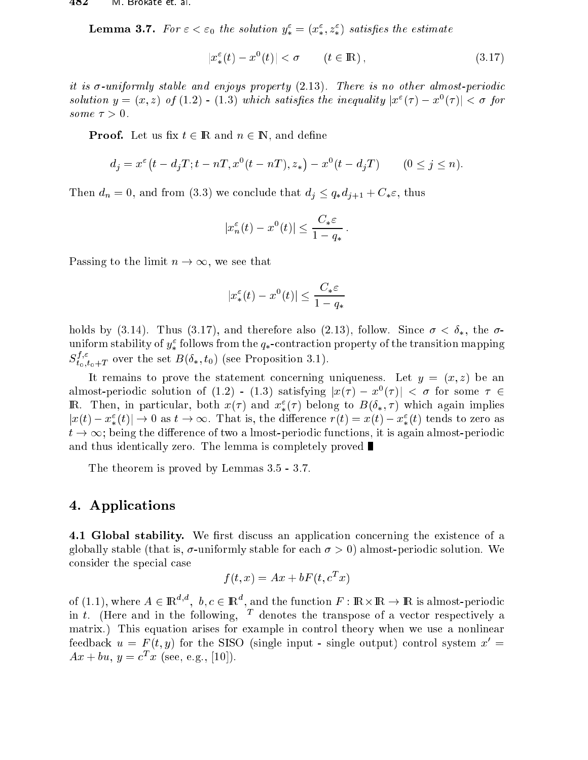**Lemma 3.1.** For  $\varepsilon < \varepsilon_0$  the solution  $y_* = (x_*, z_*)$  satisfies the estimate

$$
|x_*^{\varepsilon}(t) - x^0(t)| < \sigma \qquad (t \in \mathbb{R}), \tag{3.17}
$$

it is -uniformly stable and enjoys property (2.13). There is no other almost-periodi solution  $y = (x, z)$  of  $(1.2)$  - (1.3) which satisfies the inequality  $|x'(t) - x'(t)| \leq \delta$  for some > 0.

**Proof.** Let us fix  $t \in \mathbb{R}$  and  $n \in \mathbb{N}$ , and define

$$
d_j = x^{\varepsilon} (t - d_j T; t - nT, x^0 (t - nT), z_*) - x^0 (t - d_j T) \qquad (0 \le j \le n).
$$

 $\begin{array}{ccc} \textcolor{red}{\textbf{10}} & \textcolor{red}{\textbf{0}} & \textcolor{red}{\textbf{0}} & \textcolor{red}{\textbf{0}} & \textcolor{red}{\textbf{0}} & \textcolor{red}{\textbf{0}} & \textcolor{red}{\textbf{0}} & \textcolor{red}{\textbf{0}} & \textcolor{red}{\textbf{0}} & \textcolor{red}{\textbf{0}} & \textcolor{red}{\textbf{0}} & \textcolor{red}{\textbf{0}} & \textcolor{red}{\textbf{0}} & \textcolor{red}{\textbf{0}} & \textcolor{red}{\textbf{0}} & \textcolor{red}{\textbf{0}} & \textcolor{$ 

$$
|x_n^{\varepsilon}(t) - x^0(t)| \le \frac{C_*\varepsilon}{1 - q_*}.
$$

Passing to the limit  $n \to \infty$ , we see that

$$
|x_*^{\varepsilon}(t) - x^0(t)| \le \frac{C_*\varepsilon}{1 - q_*}
$$

holds by (3.14). Thus (3.17), and therefore also (2.13), follow. Since  $\sigma < \delta_{*}$ , the  $\sigma$ uniform stability of  $y_*^*$  follows from the  $q_*$ -contraction property of the transition mapping  $S_{t_0,t_0+T}^{s,\tau}$  over the set  $B(0_*,t_0)$  (see Proposition 3.1).

It remains to prove the statement concerning uniqueness. Let  $y = (x, z)$  be an almost-periodic solution of (1.2) - (1.3) satisfying  $|x(\tau) - x^\top(\tau)| < \sigma$  for some  $\tau \in$  $\mathfrak{m}$ . Then, in particular, both  $x( \tau )$  and  $x_* ( \tau )$  belong to  $D( \mathfrak{o}_*, \tau )$  which again implies  $|x(t)-x^*_{*}(t)| \to 0$  as  $t \to \infty$ . That is, the difference  $r(t) = x(t) - x^*_{*}(t)$  tends to zero as  $t \to \infty$ ; being the difference of two a lmost-periodic functions, it is again almost-periodic and thus identically zero. The lemma is completely proved  $\blacksquare$ 

The theorem is proved by Lemmas 3.5 - 3.7.

#### 4. Appli
ations

4.1 Global stability. We first discuss an application concerning the existence of a globally stable (that is,  $\sigma$ -uniformly stable for each  $\sigma > 0$ ) almost-periodic solution. We onsider the spe
ial ase

$$
f(t, x) = Ax + bF(t, c^T x)
$$

of (1.1), where  $A \in \mathbb{R}^{n}$ ,  $b, c \in \mathbb{R}^{n}$ , and the function  $F : \mathbb{R} \times \mathbb{R} \to \mathbb{R}$  is almost-periodic in  $\iota$ . There and in the following, I denotes the transpose of a vector respectively a matrix.) This equation arises for example in ontrol theory when we use a nonlinear feedback  $u = F(t, y)$  for the SISO (single input - single output) control system  $x' =$  $Ax + vu, y = c \ x$  (see, e.g., [10]).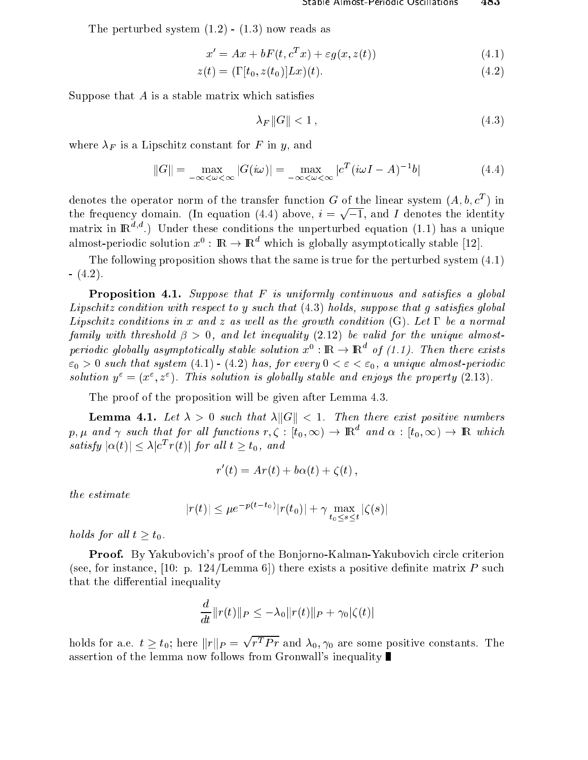The perturbed system  $(1.2)$  -  $(1.3)$  now reads as

$$
x' = Ax + bF(t, c^T x) + \varepsilon g(x, z(t))
$$
\n(4.1)

$$
z(t) = (\Gamma[t_0, z(t_0)]Lx)(t).
$$
 (4.2)

Suppose that  $A$  is a stable matrix which satisfies

$$
\lambda_F \|G\| < 1\,,\tag{4.3}
$$

where  $\alpha$  is a Lipschitz constant for  $\alpha$  in  $\alpha$ 

$$
||G|| = \max_{-\infty < \omega < \infty} |G(i\omega)| = \max_{-\infty < \omega < \infty} |c^T(i\omega I - A)^{-1}b| \tag{4.4}
$$

denotes the operator norm of the transfer function  $\bf G$  of the linear system (A,  $\theta, \mathcal{C}^*$  ) in  $\mathbf{y}$  domain. (In equation (4.4) above, in equation (4.4) above, i  $\mathbf{y}$ p 1, and I denotes the identity matrix in  $\mathbb{R}^{d,d}$ .) Under these conditions the unperturbed equation (1.1) has a unique almost-periodic solution  $x^*:\;{\rm I\!K}\to{\rm I\!K}$  which is globally asymptotically stable [12].

The following proposition shows that the same is true for the perturbed system (4.1)  $- (4.2).$ 

**Proposition 4.1.** Suppose that  $F$  is uniformly continuous and satisfies a global Lips
hitz ondition with respe
t to y su
h that (4.3) holds, suppose that g satises global Lips
hitz onditions in x and z as wel l as the growth ondition (G). Let be <sup>a</sup> normal family with the shock of  $\mu$  ,  $\mu$  , and let inequality (2.12) be valid for the unit  $\mu$  and unit almostperiodic quobally asymptotically stable solution  $x^\circ : \mathbb{R} \to \mathbb{R}$  of (1.1). Then there exists  $\epsilon_0 > 0$  such that system (4.1) - (4.2) has, for every  $0 < \epsilon < \epsilon_0$ , a unique almost-periodic solution  $y^* = (x^*, z^*)$ . This solution is quobally stable and enjoys the property  $(z, 13)$ .

The proof of the proposition will be given after Lemma 4.3.

**Lemma 4.1.** Let  $\lambda > 0$  such that  $\lambda ||G|| < 1$ . Then there exist positive numbers  $p,\mu$  and  $\gamma$  such that for all functions  $r,\zeta: [t_0,\infty)\to{\rm I\!R}^+$  and  $\alpha: [t_0,\infty)\to{\rm I\!R}^-$  which satisfy  $|\alpha(t)| \leq \lambda |\mathcal{C}^T f(t)|$  for all  $t \geq t_0$ , and

$$
r'(t) = Ar(t) + b\alpha(t) + \zeta(t),
$$

$$
|r(t)| \le \mu e^{-p(t-t_0)} |r(t_0)| + \gamma \max_{t_0 \le s \le t} |\zeta(s)|
$$

 $\mathcal{L}$  is a set of  $\mathcal{L}$ 

**Proof.** By Yakubovich's proof of the Bonjorno-Kalman-Yakubovich circle criterion (see, for instance, [10: p. 124/Lemma 6]) there exists a positive definite matrix P such that the differential inequality

$$
\frac{d}{dt}||r(t)||_P \leq -\lambda_0||r(t)||_P + \gamma_0|\zeta(t)|
$$

holds for all  $\alpha$  to an all  $\alpha$  . The form  $\alpha$  is the form  $\alpha$  $\sqrt{r^T P r}$  and  $\lambda_0, \gamma_0$  are some positive constants. The assertion of the lemma now follows from Gronwall's inequality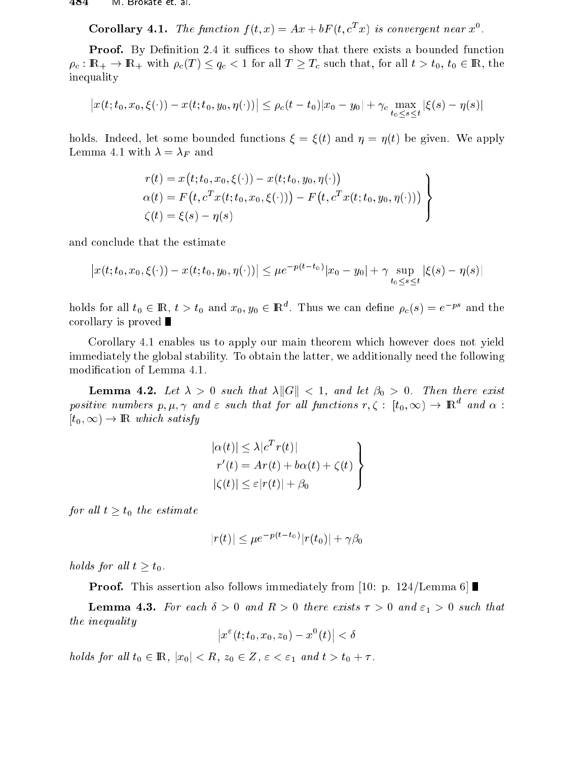Corollary 4.1. The function  $f(t, x) = Ax + or(t, c^2 x)$  is convergent near  $x^2$ .

**Proof.** By Definition 2.4 it suffices to show that there exists a bounded function  $\Gamma$  ) is the  $\Gamma$  -respective to  $\Gamma$  and  $\Gamma$  is the sum of all that  $\Gamma$  . The sum of all the sum of  $\Gamma$  , the sum of  $\Gamma$ inequality

$$
\left| x(t; t_0, x_0, \xi(\cdot)) - x(t; t_0, y_0, \eta(\cdot)) \right| \le \rho_c (t - t_0) |x_0 - y_0| + \gamma_c \max_{t_0 \le s \le t} |\xi(s) - \eta(s)|
$$

holds. Indeed, let some bounded functions  $\xi = \xi(t)$  and  $\eta = \eta(t)$  be given. We apply Lemma 4.1 with = F and

$$
r(t) = x(t; t_0, x_0, \xi(\cdot)) - x(t; t_0, y_0, \eta(\cdot))
$$
  
\n
$$
\alpha(t) = F(t, c^T x(t; t_0, x_0, \xi(\cdot))) - F(t, c^T x(t; t_0, y_0, \eta(\cdot)))
$$
  
\n
$$
\zeta(t) = \xi(s) - \eta(s)
$$

and on
lude that the estimate

$$
\left| x(t; t_0, x_0, \xi(\cdot)) - x(t; t_0, y_0, \eta(\cdot)) \right| \le \mu e^{-p(t - t_0)} |x_0 - y_0| + \gamma \sup_{t_0 \le s \le t} |\xi(s) - \eta(s)|
$$

holds for all  $t_0 \in \mathbb{R}$ ,  $t > t_0$  and  $x_0, y_0 \in \mathbb{R}^+$ . Thus we can define  $\rho_c(s) = e^{-\rho s}$  and the corollary is proved  $\blacksquare$ 

Corollary 4.1 enables us to apply our main theorem whi
h however does not yield immediately the global stability. To obtain the latter, we additionally need the following modification of Lemma 4.1.

**Lemma 4.2.** Let  $\lambda > 0$  such that  $\lambda ||G|| < 1$ , and let  $\beta_0 > 0$ . Then there exist positive numbers  $p,\mu,\gamma$  and  $\varepsilon$  such that for all functions  $r,\zeta$  :  $|t_0,\infty)\to$   $\mathbb{R}^+$  and  $\alpha$  :  $[t_0, \infty) \rightarrow \mathbb{R}$  which satisfy

$$
|\alpha(t)| \leq \lambda |c^T r(t)|
$$
  
\n
$$
r'(t) = Ar(t) + b\alpha(t) + \zeta(t)
$$
  
\n
$$
|\zeta(t)| \leq \varepsilon |r(t)| + \beta_0
$$

 $f$  and all  $f$  and estimate estimates and  $f$ 

$$
|r(t)| \le \mu e^{-p(t-t_0)} |r(t_0)| + \gamma \beta_0
$$

holds for all the form  $\mathcal{L} = \{0,1\}$ 

**Proof.** This assertion also follows immediately from [10: p. 124/Lemma 6]

**Lemma 4.3.** For each  $\delta > 0$  and  $R > 0$  there exists  $\tau > 0$  and  $\varepsilon_1 > 0$  such that the integration of  $\alpha$ 

$$
\left|x^{\varepsilon}(t;t_0,x_0,z_0)-x^0(t)\right|<\delta
$$

holds for al l t0 <sup>2</sup> IR, jx0j <sup>&</sup>lt; <sup>R</sup>, z0 <sup>2</sup> <sup>Z</sup>, " <sup>&</sup>lt; "1 and <sup>t</sup> <sup>&</sup>gt; t0 <sup>+</sup> .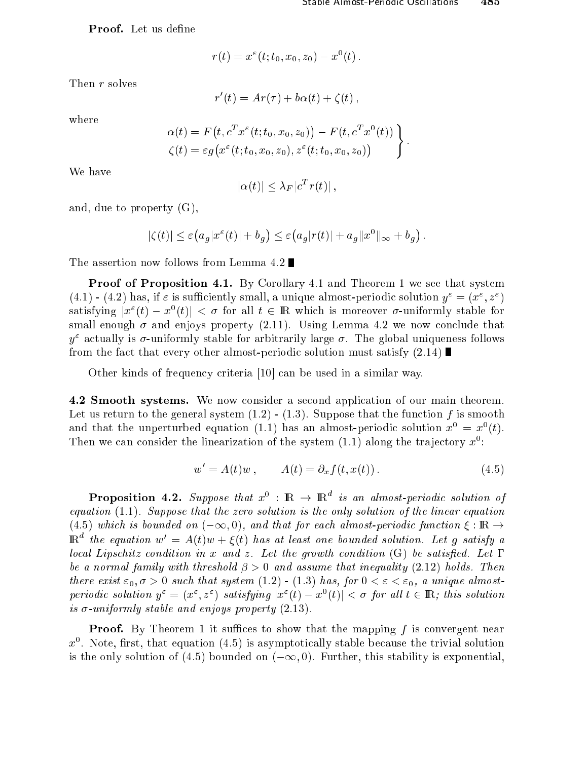Proof. Let us define

$$
r(t) = x^{\varepsilon}(t; t_0, x_0, z_0) - x^0(t).
$$

Then r solves

$$
r'(t) = Ar(\tau) + b\alpha(t) + \zeta(t),
$$

where

$$
\alpha(t) = F(t, c^T x^{\varepsilon}(t; t_0, x_0, z_0)) - F(t, c^T x^0(t))
$$
  

$$
\zeta(t) = \varepsilon g(x^{\varepsilon}(t; t_0, x_0, z_0), z^{\varepsilon}(t; t_0, x_0, z_0))
$$

We have

$$
|\alpha(t)| \leq \lambda_F |c^T r(t)|,
$$

and, due to property (G),

$$
|\zeta(t)| \leq \varepsilon (a_g |x^{\varepsilon}(t)| + b_g) \leq \varepsilon (a_g |r(t)| + a_g ||x^0||_{\infty} + b_g).
$$

The assertion now follows from Lemma 4.2

**Proof of Proposition 4.1.** By Corollary 4.1 and Theorem 1 we see that system (4.1) - (4.2) has, if  $\varepsilon$  is sufficiently small, a unique almost-periodic solution  $y^* = (x^*, z^*)$ satisfying  $|x^*(t) - x^*(t)| \leq \theta$  for all  $t \in \mathbb{R}$  which is inoreover  $\theta$ -uniformly stable for small enough  $\sigma$  and enjoys property (2.11). Using Lemma 4.2 we now conclude that  $y^2$  actually is  $\sigma$ -uniformly stable for arbitrarily large  $\sigma$ . The global uniqueness follows from the fact that every other almost-periodic solution must satisfy  $(2.14)$ 

Other kinds of frequency criteria [10] can be used in a similar way.

4.2 Smooth systems. We now onsider a se
ond appli
ation of our main theorem. Let us return to the general system  $(1.2)$  -  $(1.3)$ . Suppose that the function f is smooth and that the unperturbed equation (1.1) has an almost-periodic solution  $x^-=x^-(t)$ . Then we can consider the imearization of the system  $(1.1)$  along the trajectory  $x$ :

$$
w' = A(t)w, \qquad A(t) = \partial_x f(t, x(t)). \tag{4.5}
$$

**Proposition 4.2.** Suppose that  $x^{\circ}$  :  $\mathbb{R} \rightarrow \mathbb{R}^{\sim}$  is an almost-periodic solution of equation (1.1). Suppose that the zero solution is the only solution of the linear equation (4.5) which is bounded on  $(-\infty, 0)$ , and that for each almost-periodic function  $\xi : \mathbb{R} \to$  $\mathbb{R}^n$  the equation  $w^* = A(t)w + \xi(t)$  has at least one bounded solution. Let q satisfy a lo
al Lips
hitz ondition in x and z. Let the growth ondition (G) be satised. Let  $\mathbf 1$  and assume that including the threshold inequality (2.12) holds. Then assume that in  $\mathbf 1$ there exists  $\{0,1,\cdots,n\}$  is that system (1.2)  $\{1,\cdots,n\}$  , for  $\{0,1,\cdots,n\}$  and  $\{0,1,\cdots,n\}$ periodic solution  $y^* = (x^*, z^*)$  satisfying  $|x^*(t) - x^*(t)| < \sigma$  for all  $t \in \mathbb{R}$ ; this solution is -uniformly stable and enjoys property (2.13).

**Proof.** By Theorem 1 it suffices to show that the mapping f is convergent near  $x$  . Note, first, that equation (4.5) is asymptotically stable because the trivial solution is the only solution of (4.5) bounded on  $(-\infty, 0)$ . Further, this stability is exponential.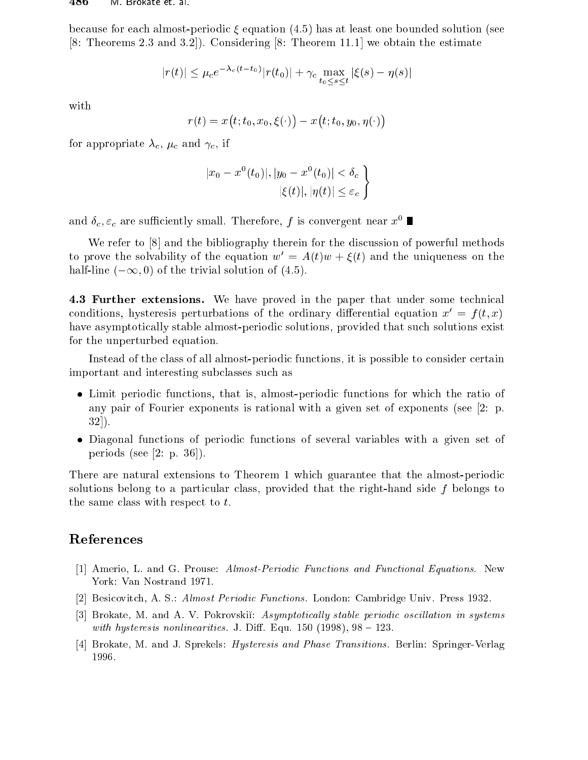because for each almost-periodic  $\xi$  equation (4.5) has at least one bounded solution (see [8: Theorems 2.3 and 3.2]). Considering [8: Theorem 11.1] we obtain the estimate

$$
|r(t)| \le \mu_c e^{-\lambda_c (t - t_0)} |r(t_0)| + \gamma_c \max_{t_0 \le s \le t} |\xi(s) - \eta(s)|
$$

with

r(t) = x  $\overline{\phantom{a}}$ t; t0; t0; x0; 1  $\sim$  $\overline{\phantom{a}}$ t; t0; y0; ()  $\sim$ 

for a propriate and the contract of the contract of the contract of the contract of the contract of the contract of the contract of the contract of the contract of the contract of the contract of the contract of the contra

$$
|x_0 - x^0(t_0)|, |y_0 - x^0(t_0)| < \delta_c
$$
  

$$
|\xi(t)|, |\eta(t)| \le \varepsilon_c
$$

and  $\theta_c, \varepsilon_c$  are sumclemby small. Therefore, f is convergent hear  $x^{\scriptscriptstyle +}$ 

We refer to  $[8]$  and the bibliography therein for the discussion of powerful methods to prove the solvability of the equation  $w' = A(t)w + \xi(t)$  and the uniqueness on the half-line  $(-\infty, 0)$  of the trivial solution of (4.5).

4.3 Further extensions. We have proved in the paper that under some technical conditions, hysteresis perturbations of the ordinary differential equation  $x' = f(t, x)$ have asymptotically stable almost-periodic solutions, provided that such solutions exist for the unperturbed equation.

Instead of the class of all almost-periodic functions, it is possible to consider certain important and interesting sub
lasses su
h as

- tions functions, the ratio of the ratio of the ratio of the ratio of the ratio of the ratio of the ratio of th any pair of Fourier exponents is rational with a given set of exponents (see [2: p.  $32$ ].
- Diagonal fun
tions of periodi fun
tions of several variables with a given set of periods (see  $[2: p. 36]$ ).

There are natural extensions to Theorem 1 which guarantee that the almost-periodic solutions belong to a particular class, provided that the right-hand side  $f$  belongs to the same class with respect to  $t$ .

### Referen
es

- [1] Amerio, L. and G. Prouse: Almost-Periodic Functions and Functional Equations. New York: Van Nostrand 1971.
- [2] Besicovitch, A. S.: Almost Periodic Functions. London: Cambridge Univ. Press 1932.
- [3] Brokate, M. and A. V. Pokrovskii: Asymptotically stable periodic oscillation in systems with hysteresis nonlinearities. J. Diff. Equ. 150  $(1998)$ ,  $98 - 123$ .
- [4] Brokate, M. and J. Sprekels: *Hysteresis and Phase Transitions*. Berlin: Springer-Verlag 1996.